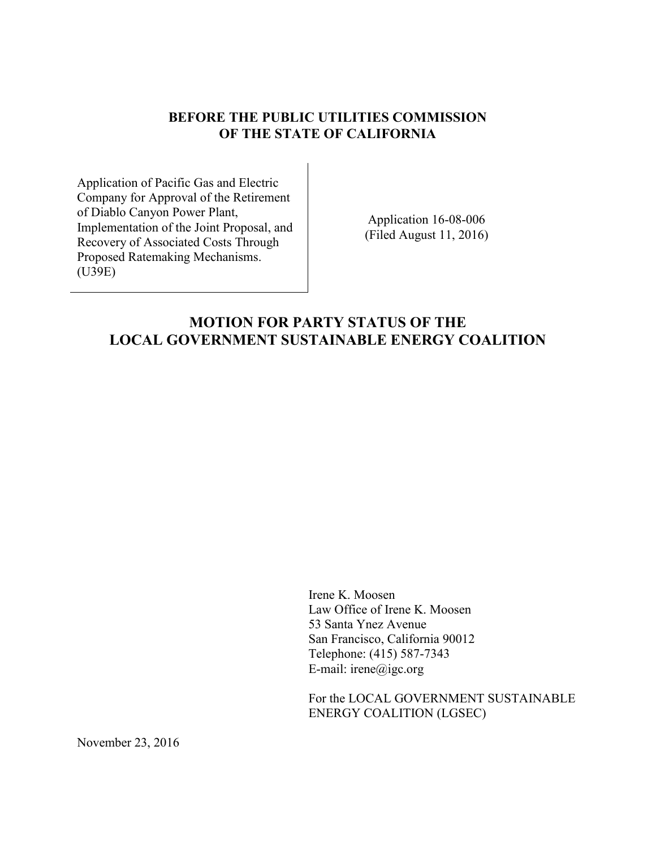## **BEFORE THE PUBLIC UTILITIES COMMISSION OF THE STATE OF CALIFORNIA**

Application of Pacific Gas and Electric Company for Approval of the Retirement of Diablo Canyon Power Plant, Implementation of the Joint Proposal, and Recovery of Associated Costs Through Proposed Ratemaking Mechanisms. (U39E)

Application 16-08-006 (Filed August 11, 2016)

## **MOTION FOR PARTY STATUS OF THE LOCAL GOVERNMENT SUSTAINABLE ENERGY COALITION**

Irene K. Moosen Law Office of Irene K. Moosen 53 Santa Ynez Avenue San Francisco, California 90012 Telephone: (415) 587-7343 E-mail: irene@igc.org

For the LOCAL GOVERNMENT SUSTAINABLE ENERGY COALITION (LGSEC)

November 23, 2016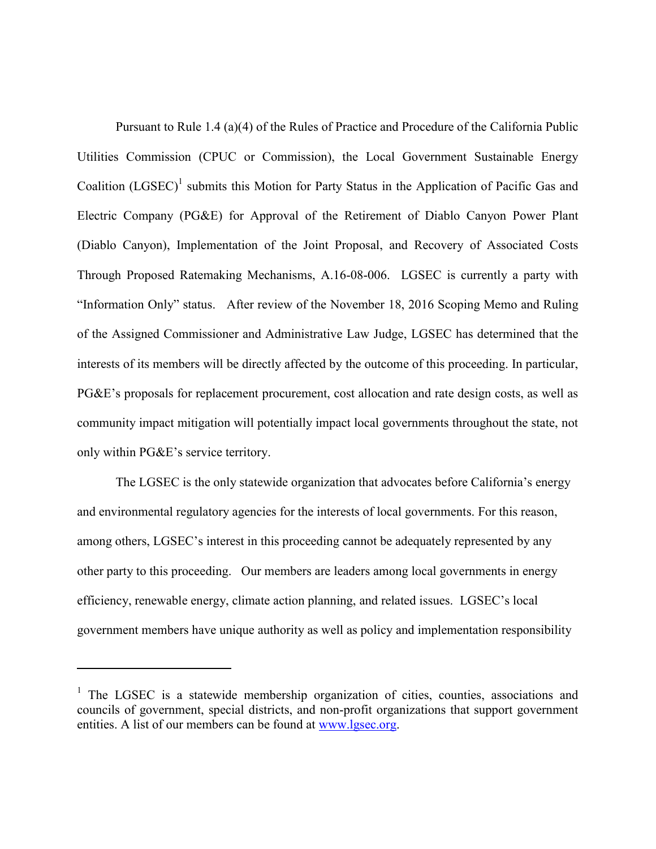Pursuant to Rule 1.4 (a)(4) of the Rules of Practice and Procedure of the California Public Utilities Commission (CPUC or Commission), the Local Government Sustainable Energy Coalition  $(LGSEC)^1$  submits this Motion for Party Status in the Application of Pacific Gas and Electric Company (PG&E) for Approval of the Retirement of Diablo Canyon Power Plant (Diablo Canyon), Implementation of the Joint Proposal, and Recovery of Associated Costs Through Proposed Ratemaking Mechanisms, A.16-08-006. LGSEC is currently a party with "Information Only" status. After review of the November 18, 2016 Scoping Memo and Ruling of the Assigned Commissioner and Administrative Law Judge, LGSEC has determined that the interests of its members will be directly affected by the outcome of this proceeding. In particular, PG&E's proposals for replacement procurement, cost allocation and rate design costs, as well as community impact mitigation will potentially impact local governments throughout the state, not only within PG&E's service territory.

The LGSEC is the only statewide organization that advocates before California's energy and environmental regulatory agencies for the interests of local governments. For this reason, among others, LGSEC's interest in this proceeding cannot be adequately represented by any other party to this proceeding. Our members are leaders among local governments in energy efficiency, renewable energy, climate action planning, and related issues. LGSEC's local government members have unique authority as well as policy and implementation responsibility

 $\overline{a}$ 

<sup>&</sup>lt;sup>1</sup> The LGSEC is a statewide membership organization of cities, counties, associations and councils of government, special districts, and non-profit organizations that support government entities. A list of our members can be found at [www.lgsec.org.](http://www.lgsec.org/)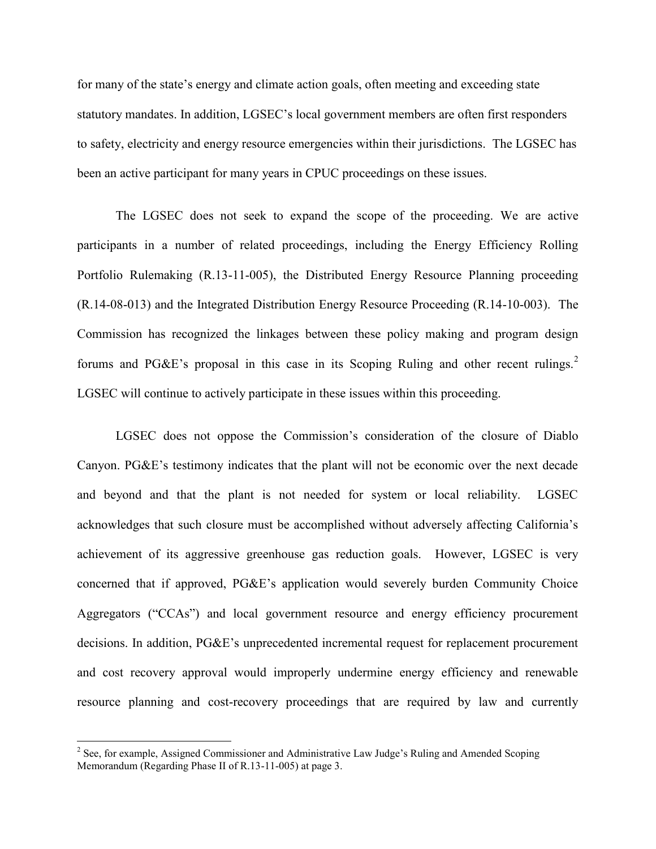for many of the state's energy and climate action goals, often meeting and exceeding state statutory mandates. In addition, LGSEC's local government members are often first responders to safety, electricity and energy resource emergencies within their jurisdictions. The LGSEC has been an active participant for many years in CPUC proceedings on these issues.

The LGSEC does not seek to expand the scope of the proceeding. We are active participants in a number of related proceedings, including the Energy Efficiency Rolling Portfolio Rulemaking (R.13-11-005), the Distributed Energy Resource Planning proceeding (R.14-08-013) and the Integrated Distribution Energy Resource Proceeding (R.14-10-003). The Commission has recognized the linkages between these policy making and program design forums and PG&E's proposal in this case in its Scoping Ruling and other recent rulings.<sup>2</sup> LGSEC will continue to actively participate in these issues within this proceeding.

LGSEC does not oppose the Commission's consideration of the closure of Diablo Canyon. PG&E's testimony indicates that the plant will not be economic over the next decade and beyond and that the plant is not needed for system or local reliability. LGSEC acknowledges that such closure must be accomplished without adversely affecting California's achievement of its aggressive greenhouse gas reduction goals. However, LGSEC is very concerned that if approved, PG&E's application would severely burden Community Choice Aggregators ("CCAs") and local government resource and energy efficiency procurement decisions. In addition, PG&E's unprecedented incremental request for replacement procurement and cost recovery approval would improperly undermine energy efficiency and renewable resource planning and cost-recovery proceedings that are required by law and currently

 $\overline{a}$ 

<sup>&</sup>lt;sup>2</sup> See, for example, Assigned Commissioner and Administrative Law Judge's Ruling and Amended Scoping Memorandum (Regarding Phase II of R.13-11-005) at page 3.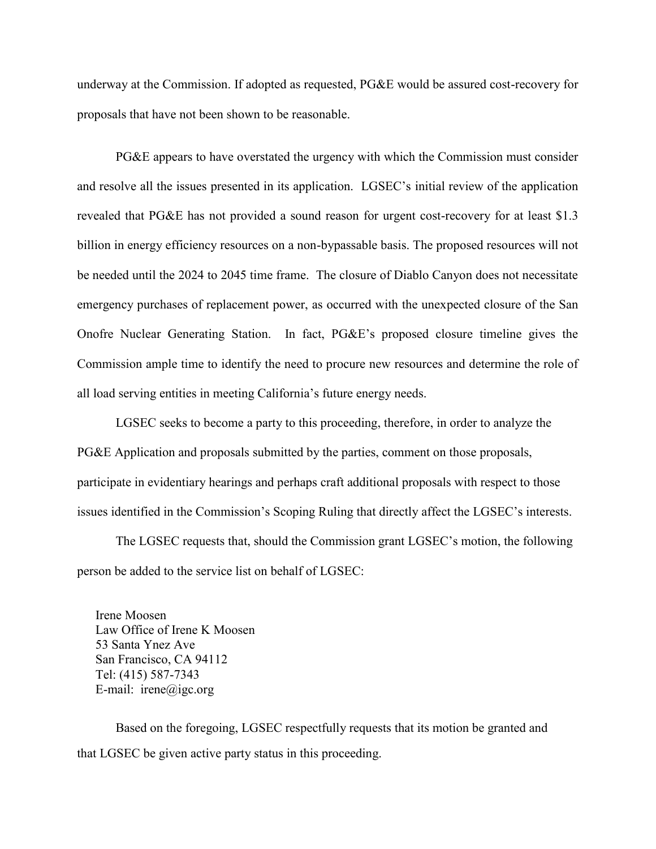underway at the Commission. If adopted as requested, PG&E would be assured cost-recovery for proposals that have not been shown to be reasonable.

PG&E appears to have overstated the urgency with which the Commission must consider and resolve all the issues presented in its application. LGSEC's initial review of the application revealed that PG&E has not provided a sound reason for urgent cost-recovery for at least \$1.3 billion in energy efficiency resources on a non-bypassable basis. The proposed resources will not be needed until the 2024 to 2045 time frame. The closure of Diablo Canyon does not necessitate emergency purchases of replacement power, as occurred with the unexpected closure of the San Onofre Nuclear Generating Station. In fact, PG&E's proposed closure timeline gives the Commission ample time to identify the need to procure new resources and determine the role of all load serving entities in meeting California's future energy needs.

LGSEC seeks to become a party to this proceeding, therefore, in order to analyze the PG&E Application and proposals submitted by the parties, comment on those proposals, participate in evidentiary hearings and perhaps craft additional proposals with respect to those issues identified in the Commission's Scoping Ruling that directly affect the LGSEC's interests.

The LGSEC requests that, should the Commission grant LGSEC's motion, the following person be added to the service list on behalf of LGSEC:

Irene Moosen Law Office of Irene K Moosen 53 Santa Ynez Ave San Francisco, CA 94112 Tel: (415) 587-7343 E-mail: irene@igc.org

Based on the foregoing, LGSEC respectfully requests that its motion be granted and that LGSEC be given active party status in this proceeding.